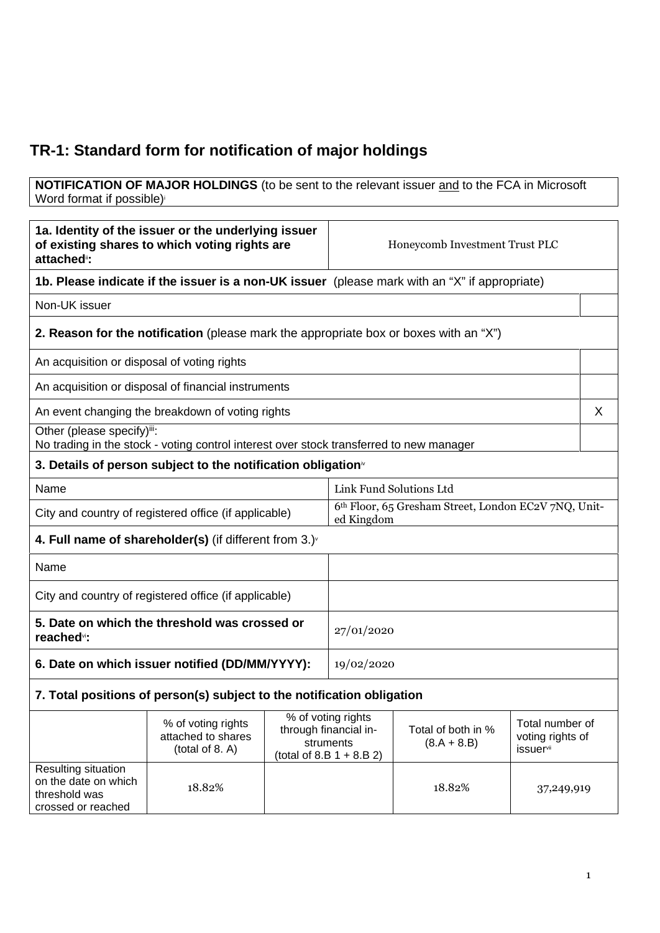## **TR-1: Standard form for notification of major holdings**

## **NOTIFICATION OF MAJOR HOLDINGS** (to be sent to the relevant issuer and to the FCA in Microsoft Word format if possible)

| 1a. Identity of the issuer or the underlying issuer<br>of existing shares to which voting rights are<br>attached <sup>®</sup> : |                                                                                               |  | Honeycomb Investment Trust PLC                                                          |                                     |                                                          |   |
|---------------------------------------------------------------------------------------------------------------------------------|-----------------------------------------------------------------------------------------------|--|-----------------------------------------------------------------------------------------|-------------------------------------|----------------------------------------------------------|---|
|                                                                                                                                 | 1b. Please indicate if the issuer is a non-UK issuer (please mark with an "X" if appropriate) |  |                                                                                         |                                     |                                                          |   |
| Non-UK issuer                                                                                                                   |                                                                                               |  |                                                                                         |                                     |                                                          |   |
|                                                                                                                                 | 2. Reason for the notification (please mark the appropriate box or boxes with an "X")         |  |                                                                                         |                                     |                                                          |   |
| An acquisition or disposal of voting rights                                                                                     |                                                                                               |  |                                                                                         |                                     |                                                          |   |
|                                                                                                                                 | An acquisition or disposal of financial instruments                                           |  |                                                                                         |                                     |                                                          |   |
|                                                                                                                                 | An event changing the breakdown of voting rights                                              |  |                                                                                         |                                     |                                                          | X |
| Other (please specify)iii:                                                                                                      | No trading in the stock - voting control interest over stock transferred to new manager       |  |                                                                                         |                                     |                                                          |   |
|                                                                                                                                 | 3. Details of person subject to the notification obligation <sup>®</sup>                      |  |                                                                                         |                                     |                                                          |   |
| Name                                                                                                                            |                                                                                               |  | Link Fund Solutions Ltd                                                                 |                                     |                                                          |   |
| City and country of registered office (if applicable)                                                                           |                                                                                               |  | 6th Floor, 65 Gresham Street, London EC2V 7NQ, Unit-<br>ed Kingdom                      |                                     |                                                          |   |
| 4. Full name of shareholder(s) (if different from $3.$ ) $\sqrt{ }$                                                             |                                                                                               |  |                                                                                         |                                     |                                                          |   |
| Name                                                                                                                            |                                                                                               |  |                                                                                         |                                     |                                                          |   |
| City and country of registered office (if applicable)                                                                           |                                                                                               |  |                                                                                         |                                     |                                                          |   |
| 5. Date on which the threshold was crossed or<br>reached <sup>vi</sup> :                                                        |                                                                                               |  | 27/01/2020                                                                              |                                     |                                                          |   |
| 6. Date on which issuer notified (DD/MM/YYYY):                                                                                  |                                                                                               |  | 19/02/2020                                                                              |                                     |                                                          |   |
| 7. Total positions of person(s) subject to the notification obligation                                                          |                                                                                               |  |                                                                                         |                                     |                                                          |   |
|                                                                                                                                 | % of voting rights<br>attached to shares<br>(total of 8. A)                                   |  | % of voting rights<br>through financial in-<br>struments<br>(total of 8.B $1 + 8.B 2$ ) | Total of both in %<br>$(8.A + 8.B)$ | Total number of<br>voting rights of<br><b>issuer</b> vii |   |
| Resulting situation<br>on the date on which<br>threshold was<br>crossed or reached                                              | 18.82%                                                                                        |  |                                                                                         | 18.82%                              | 37,249,919                                               |   |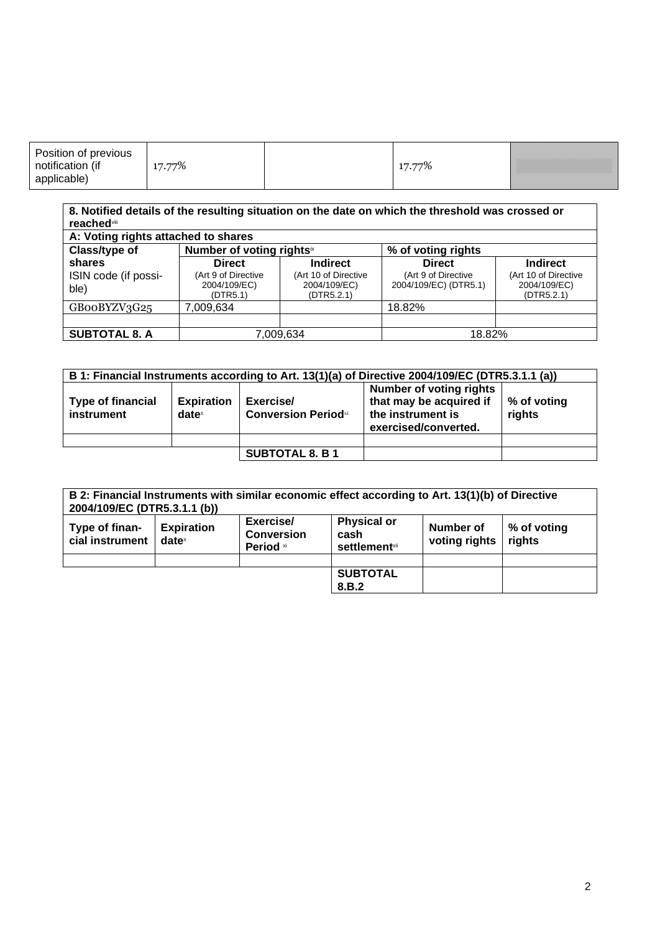| Position of previous<br>( IT<br>70 | - 70 | ,,,,,,,,,,,,,,,,,,,,,,,,,<br>,,,,,,,,,,,,,,,,,,,,, |
|------------------------------------|------|----------------------------------------------------|
|------------------------------------|------|----------------------------------------------------|

## **8. Notified details of the resulting situation on the date on which the threshold was crossed or reached**viii

| A: Voting rights attached to shares |                                                 |                                                    |                                              |                                                    |
|-------------------------------------|-------------------------------------------------|----------------------------------------------------|----------------------------------------------|----------------------------------------------------|
| Class/type of                       | Number of voting rights <sup>ix</sup>           |                                                    | % of voting rights                           |                                                    |
| shares                              | <b>Direct</b>                                   | <b>Indirect</b>                                    | <b>Direct</b>                                | <b>Indirect</b>                                    |
| ISIN code (if possi-<br>ble)        | (Art 9 of Directive<br>2004/109/EC)<br>(DTR5.1) | (Art 10 of Directive<br>2004/109/EC)<br>(DTR5.2.1) | (Art 9 of Directive<br>2004/109/EC) (DTR5.1) | (Art 10 of Directive<br>2004/109/EC)<br>(DTR5.2.1) |
| GB00BYZV3G25                        | 7,009,634                                       |                                                    | 18.82%                                       |                                                    |
|                                     |                                                 |                                                    |                                              |                                                    |
| <b>SUBTOTAL 8. A</b>                | 7.009.634                                       |                                                    | 18.82%                                       |                                                    |

| B 1: Financial Instruments according to Art. 13(1)(a) of Directive 2004/109/EC (DTR5.3.1.1 (a)) |                               |                                         |                                                                                                 |                       |
|-------------------------------------------------------------------------------------------------|-------------------------------|-----------------------------------------|-------------------------------------------------------------------------------------------------|-----------------------|
| <b>Type of financial</b><br><b>instrument</b>                                                   | <b>Expiration</b><br>$date^x$ | Exercise/<br><b>Conversion Periodxi</b> | Number of voting rights<br>that may be acquired if<br>the instrument is<br>exercised/converted. | % of voting<br>rights |
|                                                                                                 |                               |                                         |                                                                                                 |                       |
|                                                                                                 |                               | <b>SUBTOTAL 8. B 1</b>                  |                                                                                                 |                       |

| 2004/109/EC (DTR5.3.1.1 (b))      |                               |                                             | B 2: Financial Instruments with similar economic effect according to Art. 13(1)(b) of Directive |                            |                       |
|-----------------------------------|-------------------------------|---------------------------------------------|-------------------------------------------------------------------------------------------------|----------------------------|-----------------------|
| Type of finan-<br>cial instrument | <b>Expiration</b><br>$date^x$ | Exercise/<br><b>Conversion</b><br>Period xi | <b>Physical or</b><br>cash<br><b>settlement</b> xii                                             | Number of<br>voting rights | % of voting<br>rights |
|                                   |                               |                                             |                                                                                                 |                            |                       |
|                                   |                               |                                             | <b>SUBTOTAL</b>                                                                                 |                            |                       |
|                                   |                               |                                             | 8.B.2                                                                                           |                            |                       |